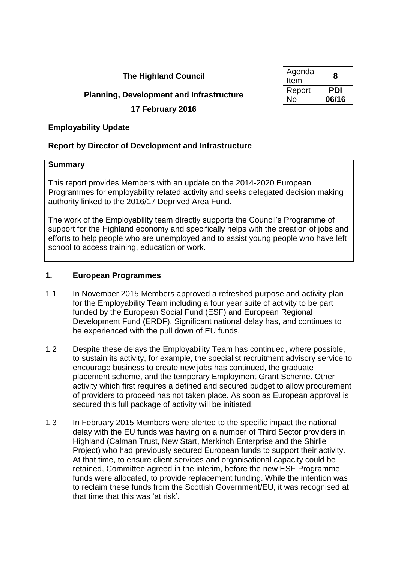# **The Highland Council**

# **Planning, Development and Infrastructure**

**17 February 2016**

# **Employability Update**

# **Report by Director of Development and Infrastructure**

### **Summary**

This report provides Members with an update on the 2014-2020 European Programmes for employability related activity and seeks delegated decision making authority linked to the 2016/17 Deprived Area Fund.

The work of the Employability team directly supports the Council's Programme of support for the Highland economy and specifically helps with the creation of jobs and efforts to help people who are unemployed and to assist young people who have left school to access training, education or work.

### **1. European Programmes**

- 1.1 In November 2015 Members approved a refreshed purpose and activity plan for the Employability Team including a four year suite of activity to be part funded by the European Social Fund (ESF) and European Regional Development Fund (ERDF). Significant national delay has, and continues to be experienced with the pull down of EU funds.
- 1.2 Despite these delays the Employability Team has continued, where possible, to sustain its activity, for example, the specialist recruitment advisory service to encourage business to create new jobs has continued, the graduate placement scheme, and the temporary Employment Grant Scheme. Other activity which first requires a defined and secured budget to allow procurement of providers to proceed has not taken place. As soon as European approval is secured this full package of activity will be initiated.
- 1.3 In February 2015 Members were alerted to the specific impact the national delay with the EU funds was having on a number of Third Sector providers in Highland (Calman Trust, New Start, Merkinch Enterprise and the Shirlie Project) who had previously secured European funds to support their activity. At that time, to ensure client services and organisational capacity could be retained, Committee agreed in the interim, before the new ESF Programme funds were allocated, to provide replacement funding. While the intention was to reclaim these funds from the Scottish Government/EU, it was recognised at that time that this was 'at risk'.

| Agenda<br>Item | 8     |
|----------------|-------|
| Report         | PDI   |
| No             | 06/16 |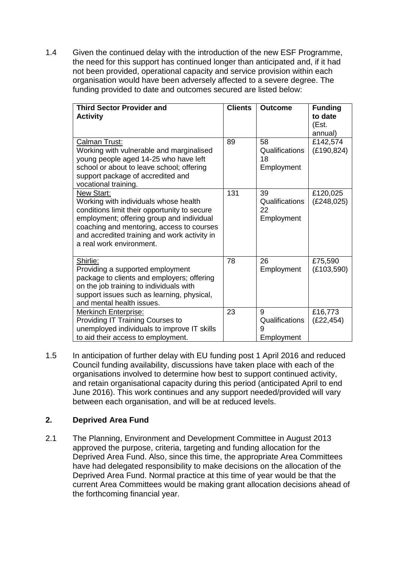1.4 Given the continued delay with the introduction of the new ESF Programme, the need for this support has continued longer than anticipated and, if it had not been provided, operational capacity and service provision within each organisation would have been adversely affected to a severe degree. The funding provided to date and outcomes secured are listed below:

| <b>Third Sector Provider and</b><br><b>Activity</b>                                                                                                                                                                                                                       | <b>Clients</b> | <b>Outcome</b>                           | <b>Funding</b><br>to date<br>(Est.<br>annual) |
|---------------------------------------------------------------------------------------------------------------------------------------------------------------------------------------------------------------------------------------------------------------------------|----------------|------------------------------------------|-----------------------------------------------|
| Calman Trust:<br>Working with vulnerable and marginalised<br>young people aged 14-25 who have left<br>school or about to leave school; offering<br>support package of accredited and<br>vocational training.                                                              | 89             | 58<br>Qualifications<br>18<br>Employment | £142,574<br>(E190, 824)                       |
| New Start:<br>Working with individuals whose health<br>conditions limit their opportunity to secure<br>employment; offering group and individual<br>coaching and mentoring, access to courses<br>and accredited training and work activity in<br>a real work environment. | 131            | 39<br>Qualifications<br>22<br>Employment | £120,025<br>(E248,025)                        |
| Shirlie:<br>Providing a supported employment<br>package to clients and employers; offering<br>on the job training to individuals with<br>support issues such as learning, physical,<br>and mental health issues.                                                          | 78             | 26<br>Employment                         | £75,590<br>(E103,590)                         |
| <b>Merkinch Enterprise:</b><br>Providing IT Training Courses to<br>unemployed individuals to improve IT skills<br>to aid their access to employment.                                                                                                                      | 23             | 9<br>Qualifications<br>9<br>Employment   | £16,773<br>(E22, 454)                         |

1.5 In anticipation of further delay with EU funding post 1 April 2016 and reduced Council funding availability, discussions have taken place with each of the organisations involved to determine how best to support continued activity, and retain organisational capacity during this period (anticipated April to end June 2016). This work continues and any support needed/provided will vary between each organisation, and will be at reduced levels.

## **2. Deprived Area Fund**

2.1 The Planning, Environment and Development Committee in August 2013 approved the purpose, criteria, targeting and funding allocation for the Deprived Area Fund. Also, since this time, the appropriate Area Committees have had delegated responsibility to make decisions on the allocation of the Deprived Area Fund. Normal practice at this time of year would be that the current Area Committees would be making grant allocation decisions ahead of the forthcoming financial year.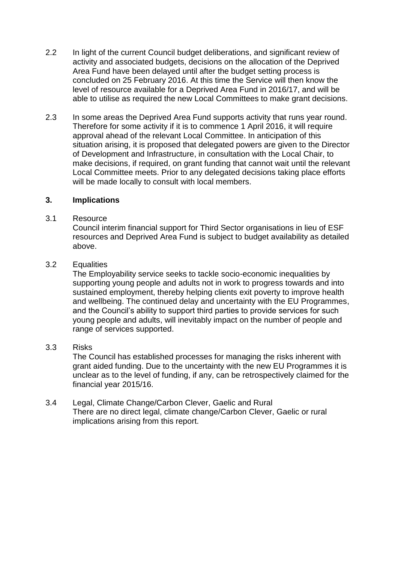- 2.2 In light of the current Council budget deliberations, and significant review of activity and associated budgets, decisions on the allocation of the Deprived Area Fund have been delayed until after the budget setting process is concluded on 25 February 2016. At this time the Service will then know the level of resource available for a Deprived Area Fund in 2016/17, and will be able to utilise as required the new Local Committees to make grant decisions.
- 2.3 In some areas the Deprived Area Fund supports activity that runs year round. Therefore for some activity if it is to commence 1 April 2016, it will require approval ahead of the relevant Local Committee. In anticipation of this situation arising, it is proposed that delegated powers are given to the Director of Development and Infrastructure, in consultation with the Local Chair, to make decisions, if required, on grant funding that cannot wait until the relevant Local Committee meets. Prior to any delegated decisions taking place efforts will be made locally to consult with local members.

### **3. Implications**

#### 3.1 Resource

Council interim financial support for Third Sector organisations in lieu of ESF resources and Deprived Area Fund is subject to budget availability as detailed above.

#### 3.2 Equalities

The Employability service seeks to tackle socio-economic inequalities by supporting young people and adults not in work to progress towards and into sustained employment, thereby helping clients exit poverty to improve health and wellbeing. The continued delay and uncertainty with the EU Programmes, and the Council's ability to support third parties to provide services for such young people and adults, will inevitably impact on the number of people and range of services supported.

### 3.3 Risks

The Council has established processes for managing the risks inherent with grant aided funding. Due to the uncertainty with the new EU Programmes it is unclear as to the level of funding, if any, can be retrospectively claimed for the financial year 2015/16.

#### 3.4 Legal, Climate Change/Carbon Clever, Gaelic and Rural There are no direct legal, climate change/Carbon Clever, Gaelic or rural implications arising from this report.